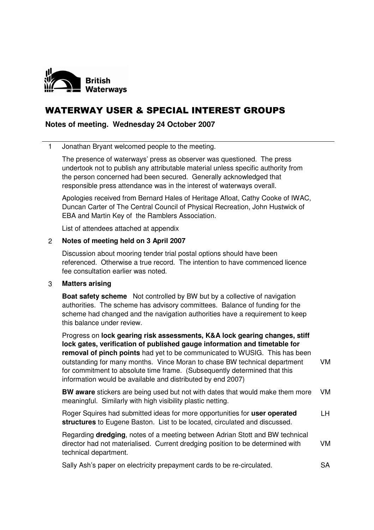

## WATERWAY USER & SPECIAL INTEREST GROUPS

**Notes of meeting. Wednesday 24 October 2007**

## 1 Jonathan Bryant welcomed people to the meeting.

The presence of waterways' press as observer was questioned. The press undertook not to publish any attributable material unless specific authority from the person concerned had been secured. Generally acknowledged that responsible press attendance was in the interest of waterways overall.

Apologies received from Bernard Hales of Heritage Afloat, Cathy Cooke of IWAC, Duncan Carter of The Central Council of Physical Recreation, John Hustwick of EBA and Martin Key of the Ramblers Association.

List of attendees attached at appendix

## 2 **Notes of meeting held on 3 April 2007**

Discussion about mooring tender trial postal options should have been referenced. Otherwise a true record. The intention to have commenced licence fee consultation earlier was noted.

#### 3 **Matters arising**

**Boat safety scheme** Not controlled by BW but by a collective of navigation authorities. The scheme has advisory committees. Balance of funding for the scheme had changed and the navigation authorities have a requirement to keep this balance under review.

Progress on **lock gearing risk assessments, K&A lock gearing changes, stiff lock gates, verification of published gauge information and timetable for removal of pinch points** had yet to be communicated to WUSIG. This has been outstanding for many months. Vince Moran to chase BW technical department for commitment to absolute time frame. (Subsequently determined that this information would be available and distributed by end 2007) VM

**BW aware** stickers are being used but not with dates that would make them more meaningful. Similarly with high visibility plastic netting. VM

Roger Squires had submitted ideas for more opportunities for **user operated structures** to Eugene Baston. List to be located, circulated and discussed. LH

Regarding **dredging**, notes of a meeting between Adrian Stott and BW technical director had not materialised. Current dredging position to be determined with technical department. VM

Sally Ash's paper on electricity prepayment cards to be re-circulated. SA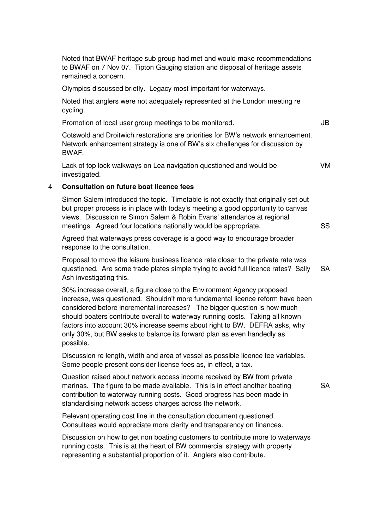Noted that BWAF heritage sub group had met and would make recommendations to BWAF on 7 Nov 07. Tipton Gauging station and disposal of heritage assets remained a concern.

Olympics discussed briefly. Legacy most important for waterways.

Noted that anglers were not adequately represented at the London meeting re cycling.

Promotion of local user group meetings to be monitored.

Cotswold and Droitwich restorations are priorities for BW's network enhancement. Network enhancement strategy is one of BW's six challenges for discussion by BWAF.

Lack of top lock walkways on Lea navigation questioned and would be investigated. VM

#### 4 **Consultation on future boat licence fees**

Simon Salem introduced the topic. Timetable is not exactly that originally set out but proper process is in place with today's meeting a good opportunity to canvas views. Discussion re Simon Salem & Robin Evans' attendance at regional meetings. Agreed four locations nationally would be appropriate.

Agreed that waterways press coverage is a good way to encourage broader response to the consultation.

Proposal to move the leisure business licence rate closer to the private rate was questioned. Are some trade plates simple trying to avoid full licence rates? Sally Ash investigating this. SA

30% increase overall, a figure close to the Environment Agency proposed increase, was questioned. Shouldn't more fundamental licence reform have been considered before incremental increases? The bigger question is how much should boaters contribute overall to waterway running costs. Taking all known factors into account 30% increase seems about right to BW. DEFRA asks, why only 30%, but BW seeks to balance its forward plan as even handedly as possible.

Discussion re length, width and area of vessel as possible licence fee variables. Some people present consider license fees as, in effect, a tax.

Question raised about network access income received by BW from private marinas. The figure to be made available. This is in effect another boating contribution to waterway running costs. Good progress has been made in standardising network access charges across the network.

Relevant operating cost line in the consultation document questioned. Consultees would appreciate more clarity and transparency on finances.

Discussion on how to get non boating customers to contribute more to waterways running costs. This is at the heart of BW commercial strategy with property representing a substantial proportion of it. Anglers also contribute.

SA

JB

SS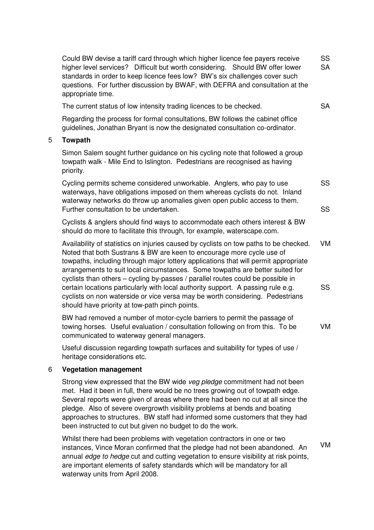|   | Could BW devise a tariff card through which higher licence fee payers receive<br>higher level services? Difficult but worth considering. Should BW offer lower<br>standards in order to keep licence fees low? BW's six challenges cover such<br>questions. For further discussion by BWAF, with DEFRA and consultation at the<br>appropriate time.                                                                                                                                                                                                                                            | SS<br><b>SA</b> |  |  |  |  |
|---|------------------------------------------------------------------------------------------------------------------------------------------------------------------------------------------------------------------------------------------------------------------------------------------------------------------------------------------------------------------------------------------------------------------------------------------------------------------------------------------------------------------------------------------------------------------------------------------------|-----------------|--|--|--|--|
|   | The current status of low intensity trading licences to be checked.                                                                                                                                                                                                                                                                                                                                                                                                                                                                                                                            | <b>SA</b>       |  |  |  |  |
|   | Regarding the process for formal consultations, BW follows the cabinet office<br>guidelines, Jonathan Bryant is now the designated consultation co-ordinator.                                                                                                                                                                                                                                                                                                                                                                                                                                  |                 |  |  |  |  |
| 5 | <b>Towpath</b>                                                                                                                                                                                                                                                                                                                                                                                                                                                                                                                                                                                 |                 |  |  |  |  |
|   | Simon Salem sought further guidance on his cycling note that followed a group<br>towpath walk - Mile End to Islington. Pedestrians are recognised as having<br>priority.                                                                                                                                                                                                                                                                                                                                                                                                                       |                 |  |  |  |  |
|   | Cycling permits scheme considered unworkable. Anglers, who pay to use<br>waterways, have obligations imposed on them whereas cyclists do not. Inland<br>waterway networks do throw up anomalies given open public access to them.<br>Further consultation to be undertaken.                                                                                                                                                                                                                                                                                                                    | SS<br>SS        |  |  |  |  |
|   | Cyclists & anglers should find ways to accommodate each others interest & BW<br>should do more to facilitate this through, for example, waterscape.com.                                                                                                                                                                                                                                                                                                                                                                                                                                        |                 |  |  |  |  |
|   | Availability of statistics on injuries caused by cyclists on tow paths to be checked.<br>Noted that both Sustrans & BW are keen to encourage more cycle use of<br>towpaths, including through major lottery applications that will permit appropriate<br>arrangements to suit local circumstances. Some towpaths are better suited for<br>cyclists than others - cycling by-passes / parallel routes could be possible in<br>certain locations particularly with local authority support. A passing rule e.g.<br>cyclists on non waterside or vice versa may be worth considering. Pedestrians | VM<br>SS        |  |  |  |  |
|   | should have priority at tow-path pinch points.                                                                                                                                                                                                                                                                                                                                                                                                                                                                                                                                                 |                 |  |  |  |  |
|   | BW had removed a number of motor-cycle barriers to permit the passage of<br>towing horses. Useful evaluation / consultation following on from this. To be<br>communicated to waterway general managers.                                                                                                                                                                                                                                                                                                                                                                                        | VM              |  |  |  |  |
|   | Useful discussion regarding towpath surfaces and suitability for types of use /<br>heritage considerations etc.                                                                                                                                                                                                                                                                                                                                                                                                                                                                                |                 |  |  |  |  |

#### 6 **Vegetation management**

Strong view expressed that the BW wide *veg pledge* commitment had not been met. Had it been in full, there would be no trees growing out of towpath edge. Several reports were given of areas where there had been no cut at all since the pledge. Also of severe overgrowth visibility problems at bends and boating approaches to structures. BW staff had informed some customers that they had been instructed to cut but given no budget to do the work.

Whilst there had been problems with vegetation contractors in one or two instances, Vince Moran confirmed that the pledge had not been abandoned. An annual *edge to hedge* cut and cutting vegetation to ensure visibility at risk points, are important elements of safety standards which will be mandatory for all waterway units from April 2008. VM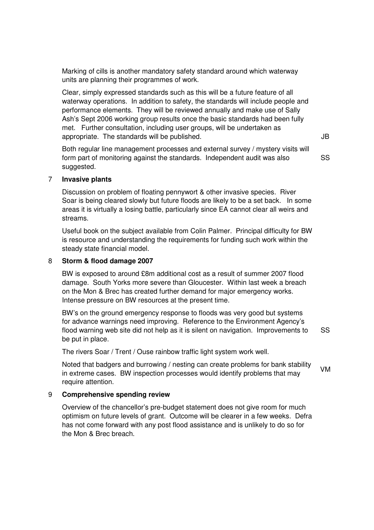Marking of cills is another mandatory safety standard around which waterway units are planning their programmes of work.

Clear, simply expressed standards such as this will be a future feature of all waterway operations. In addition to safety, the standards will include people and performance elements. They will be reviewed annually and make use of Sally Ash's Sept 2006 working group results once the basic standards had been fully met. Further consultation, including user groups, will be undertaken as appropriate. The standards will be published.

Both regular line management processes and external survey / mystery visits will form part of monitoring against the standards. Independent audit was also suggested.

SS

JB

#### 7 **Invasive plants**

Discussion on problem of floating pennywort & other invasive species. River Soar is being cleared slowly but future floods are likely to be a set back. In some areas it is virtually a losing battle, particularly since EA cannot clear all weirs and streams.

Useful book on the subject available from Colin Palmer. Principal difficulty for BW is resource and understanding the requirements for funding such work within the steady state financial model.

#### 8 **Storm & flood damage 2007**

BW is exposed to around £8m additional cost as a result of summer 2007 flood damage. South Yorks more severe than Gloucester. Within last week a breach on the Mon & Brec has created further demand for major emergency works. Intense pressure on BW resources at the present time.

BW's on the ground emergency response to floods was very good but systems for advance warnings need improving. Reference to the Environment Agency's flood warning web site did not help as it is silent on navigation. Improvements to be put in place. SS

The rivers Soar / Trent / Ouse rainbow traffic light system work well.

Noted that badgers and burrowing / nesting can create problems for bank stability in extreme cases. BW inspection processes would identify problems that may require attention. VM

#### 9 **Comprehensive spending review**

Overview of the chancellor's pre-budget statement does not give room for much optimism on future levels of grant. Outcome will be clearer in a few weeks. Defra has not come forward with any post flood assistance and is unlikely to do so for the Mon & Brec breach.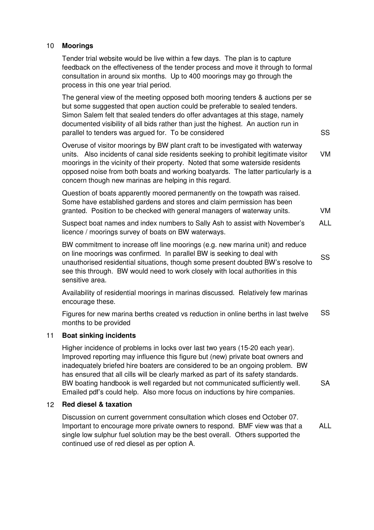## 10 **Moorings**

Tender trial website would be live within a few days. The plan is to capture feedback on the effectiveness of the tender process and move it through to formal consultation in around six months. Up to 400 moorings may go through the process in this one year trial period.

The general view of the meeting opposed both mooring tenders & auctions per se but some suggested that open auction could be preferable to sealed tenders. Simon Salem felt that sealed tenders do offer advantages at this stage, namely documented visibility of all bids rather than just the highest. An auction run in parallel to tenders was argued for. To be considered

Overuse of visitor moorings by BW plant craft to be investigated with waterway units. Also incidents of canal side residents seeking to prohibit legitimate visitor moorings in the vicinity of their property. Noted that some waterside residents opposed noise from both boats and working boatyards. The latter particularly is a concern though new marinas are helping in this regard. VM

Question of boats apparently moored permanently on the towpath was raised. Some have established gardens and stores and claim permission has been granted. Position to be checked with general managers of waterway units.

Suspect boat names and index numbers to Sally Ash to assist with November's licence / moorings survey of boats on BW waterways. ALL

BW commitment to increase off line moorings (e.g. new marina unit) and reduce on line moorings was confirmed. In parallel BW is seeking to deal with unauthorised residential situations, though some present doubted BW's resolve to see this through. BW would need to work closely with local authorities in this sensitive area.

Availability of residential moorings in marinas discussed. Relatively few marinas encourage these.

Figures for new marina berths created vs reduction in online berths in last twelve months to be provided SS

## 11 **Boat sinking incidents**

Higher incidence of problems in locks over last two years (15-20 each year). Improved reporting may influence this figure but (new) private boat owners and inadequately briefed hire boaters are considered to be an ongoing problem. BW has ensured that all cills will be clearly marked as part of its safety standards. BW boating handbook is well regarded but not communicated sufficiently well. Emailed pdf's could help. Also more focus on inductions by hire companies. SA

## 12 **Red diesel & taxation**

Discussion on current government consultation which closes end October 07. Important to encourage more private owners to respond. BMF view was that a single low sulphur fuel solution may be the best overall. Others supported the continued use of red diesel as per option A. ALL

SS

VM

SS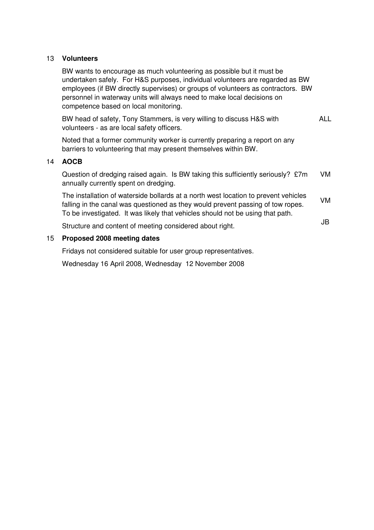## 13 **Volunteers**

BW wants to encourage as much volunteering as possible but it must be undertaken safely. For H&S purposes, individual volunteers are regarded as BW employees (if BW directly supervises) or groups of volunteers as contractors. BW personnel in waterway units will always need to make local decisions on competence based on local monitoring.

BW head of safety, Tony Stammers, is very willing to discuss H&S with volunteers - as are local safety officers. ALL

Noted that a former community worker is currently preparing a report on any barriers to volunteering that may present themselves within BW.

## 14 **AOCB**

Question of dredging raised again. Is BW taking this sufficiently seriously? £7m annually currently spent on dredging. VM

The installation of waterside bollards at a north west location to prevent vehicles falling in the canal was questioned as they would prevent passing of tow ropes. To be investigated. It was likely that vehicles should not be using that path. VM

JB

Structure and content of meeting considered about right.

## 15 **Proposed 2008 meeting dates**

Fridays not considered suitable for user group representatives.

Wednesday 16 April 2008, Wednesday 12 November 2008